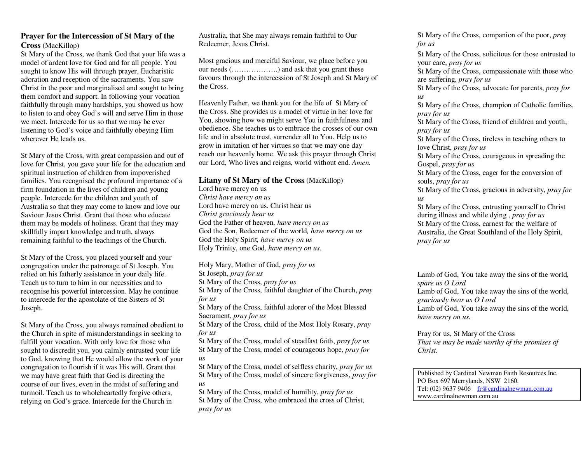## **Prayer for the Intercession of St Mary of the Cross** (MacKillop)

St Mary of the Cross, we thank God that your life was a model of ardent love for God and for all people. You sought to know His will through prayer, Eucharistic adoration and reception of the sacraments. You saw Christ in the poor and marginalised and sought to bring them comfort and support. In following your vocation faithfully through many hardships, you showed us how to listen to and obey God's will and serve Him in those we meet. Intercede for us so that we may be ever listening to God's voice and faithfully obeying Him wherever He leads us.

St Mary of the Cross, with great compassion and out of love for Christ, you gave your life for the education and spiritual instruction of children from impoverished families. You recognised the profound importance of a firm foundation in the lives of children and young people. Intercede for the children and youth of Australia so that they may come to know and love our Saviour Jesus Christ. Grant that those who educate them may be models of holiness. Grant that they may skillfully impart knowledge and truth, always remaining faithful to the teachings of the Church.

St Mary of the Cross, you placed yourself and your congregation under the patronage of St Joseph. You relied on his fatherly assistance in your daily life. Teach us to turn to him in our necessities and to recognise his powerful intercession. May he continue to intercede for the apostolate of the Sisters of St Joseph.

St Mary of the Cross, you always remained obedient to the Church in spite of misunderstandings in seeking to fulfill your vocation. With only love for those who sought to discredit you, you calmly entrusted your life to God, knowing that He would allow the work of your congregation to flourish if it was His will. Grant that we may have great faith that God is directing the course of our lives, even in the midst of suffering and turmoil. Teach us to wholeheartedly forgive others, relying on God's grace. Intercede for the Church in

Australia, that She may always remain faithful to Our Redeemer, Jesus Christ.

Most gracious and merciful Saviour, we place before you our needs (……………….) and ask that you grant these favours through the intercession of St Joseph and St Mary of the Cross.

Heavenly Father, we thank you for the life of St Mary of the Cross. She provides us a model of virtue in her love for You, showing how we might serve You in faithfulness and obedience. She teaches us to embrace the crosses of our own life and in absolute trust, surrender all to You. Help us to grow in imitation of her virtues so that we may one day reach our heavenly home. We ask this prayer through Christ our Lord, Who lives and reigns, world without end. *Amen.* 

## **Litany of St Mary of the Cross** (MacKillop)

Lord have mercy on us *Christ have mercy on us* Lord have mercy on us. Christ hear us *Christ graciously hear us*  God the Father of heaven*, have mercy on us* God the Son, Redeemer of the world*, have mercy on us*God the Holy Spirit*, have mercy on us*Holy Trinity, one God*, have mercy on us.* 

Holy Mary, Mother of God, *pray for us*St Joseph, *pray for us* St Mary of the Cross, *pray for us*  St Mary of the Cross, faithful daughter of the Church, *pray for us* St Mary of the Cross, faithful adorer of the Most Blessed Sacrament, *pray for us*  St Mary of the Cross, child of the Most Holy Rosary, *pray for us* 

 St Mary of the Cross, model of steadfast faith, *pray for us*  St Mary of the Cross, model of courageous hope, *pray for us* 

 St Mary of the Cross, model of selfless charity, *pray for us*  St Mary of the Cross, model of sincere forgiveness, *pray for us* 

 St Mary of the Cross, model of humility, *pray for us*  St Mary of the Cross, who embraced the cross of Christ, *pray for us* 

St Mary of the Cross, companion of the poor, *pray for us* St Mary of the Cross, solicitous for those entrusted to your care, *pray for us*  St Mary of the Cross, compassionate with those who are suffering, *pray for us*  St Mary of the Cross, advocate for parents, *pray for us*  St Mary of the Cross, champion of Catholic families, *pray for us*  St Mary of the Cross, friend of children and youth, *pray for us*  St Mary of the Cross, tireless in teaching others to love Christ, *pray for us*  St Mary of the Cross, courageous in spreading the Gospel, *pray for us*  St Mary of the Cross, eager for the conversion of souls, *pray for us*  St Mary of the Cross, gracious in adversity, *pray for us*  St Mary of the Cross, entrusting yourself to Christ during illness and while dying , *pray for us*  St Mary of the Cross, earnest for the welfare of Australia, the Great Southland of the Holy Spirit, *pray for us* 

Lamb of God, You take away the sins of the world*, spare us O Lord*  Lamb of God, You take away the sins of the world, *graciously hear us O Lord*  Lamb of God, You take away the sins of the world, *have mercy on us.* 

Pray for us, St Mary of the Cross *That we may be made worthy of the promises of Christ.* 

Published by Cardinal Newman Faith Resources Inc. PO Box 697 Merrylands, NSW 2160. Tel:  $(02)$  9637 9406 fr@cardinalnewman.com.au www.cardinalnewman.com.au